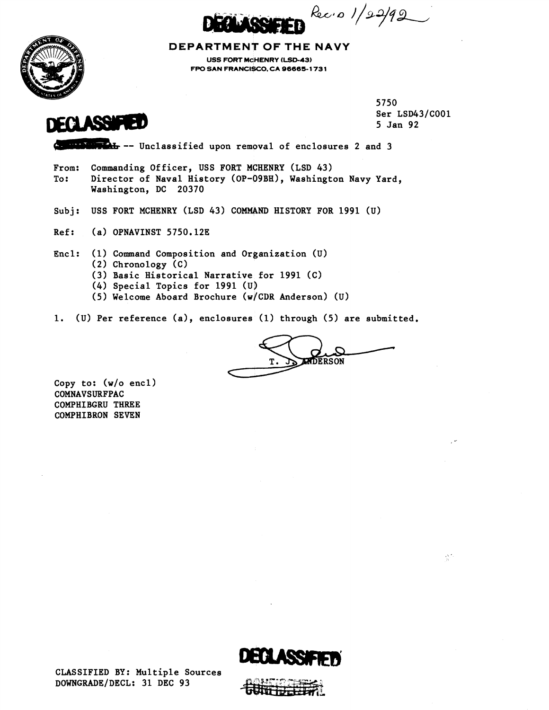Rec.o 1/22/92



**DEPARTMENT OF THE NAVY USS FORT MCHENRY (LSD-43) FPO SAN FRANCISCO, CA 96665-1 73 1** 



5750 Ser LSD43/C001 5 Jan 92

 $\frac{1}{2} \sum_{i=1}^{n-1} \frac{1}{i}$ 

**This** -- Unclassified upon removal of enclosures 2 and 3

From: Commanding Officer, USS FORT MCHENRY (LSD 43) To: Director of Naval History (OP-09BH), Washington Navy Yard, Washington, DC 20370

Subj: USS FORT MCHENRY (LSD 43) COMMAND HISTORY FOR 1991 (u)

Ref: (a) OPNAVINST 5750.12E

Encl: (1) Command Composition and Organization (U)

- (2) Chronology (C)
- (3) Basic Historical Narrative for 1991 (C)
- (4) Special Topics for 1991 (U)
- (5) Welcome Aboard Brochure (w/CDR Anderson) (U)

1. (u) Per reference (a), enclosures (1) through (5) are submitted.

COMMAND HISTORY FOR 1991 (U)<br>
and Organization (U)<br>
ative for 1991 (C)<br>
91 (U)<br>
re (w/CDR Anderson) (U)<br>
sures (1) through (5) are submitted.<br>
T.

Copy to: (w/o encl) COMNAVSURFPAC COMPHIBGRU THREE COMPHIBRON SEVEN

CLASSIFIED BY: Multiple Sources DOWNGRADE/DECL: 31 DEC 93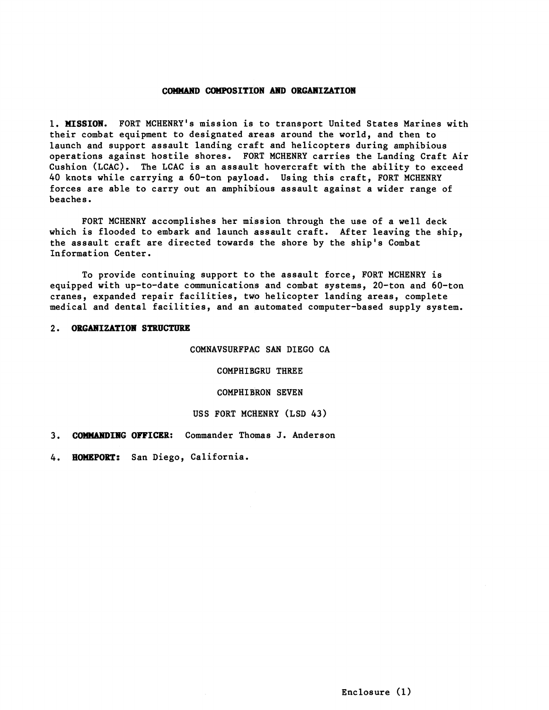#### **COMMAND COMPOSITION AND ORGANIZATION**

1. **HISSIOH.** FORT MCHENRY's mission is to transport United States Marines with their combat equipment to designated areas around the world, and then to launch and support assault landing craft and helicopters during amphibious operations against hostile shores. FORT MCHENRY carries the Landing Craft Air Cushion (LCAC). The LCAC is an assault hovercraft with the ability to exceed 40 knots while carrying a 60-ton payload, Using this craft, FORT MCHENRY forces are able to carry out an amphibious assault against a wider range of beaches.

FORT MCHENRY accomplishes her mission through the use of a well deck which is flooded to embark and launch assault craft. After leaving the ship, the assault craft are directed towards the shore by the ship's Combat Information Center.

To provide continuing support to the assault force, FORT MCHENRY is equipped with up-to-date communications and combat systems, 20-ton and 60-ton cranes, expanded repair facilities, tWo helicopter landing areas, complete medical and dental facilities, and an automated computer-based supply system.

### 2. ORGANIZATION STRUCTURE

COMNAVSURFPAC SAN DIEGO CA

COMPHIBGRU THREE

COMPHIBEON SEVEN

### USS FORT MCHENRY (LSD 43)

3. **COHMAHDIBG OFFICER:** Commander Thomas **J.** Anderson

**4. HOWgPORT:** San Diego, California.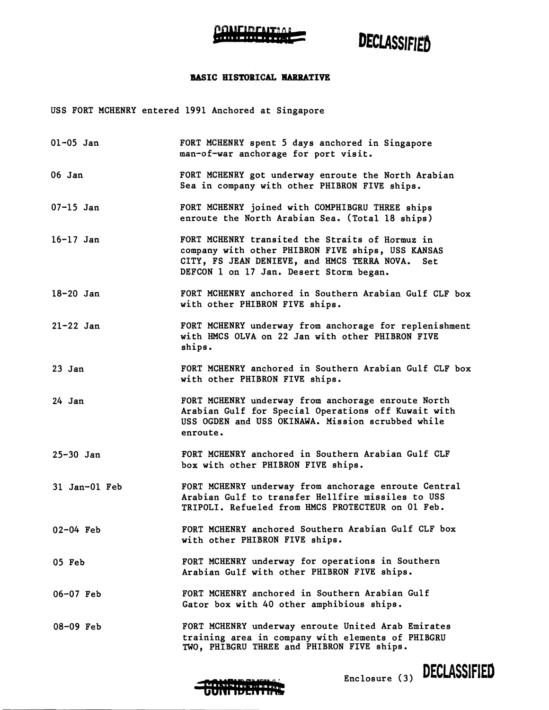

# DECLASSIFIED

### BASIC HISTORICAL NARRATIVE

USS FORT MCHENRY entered 1991 Anchored at Singapore

| $01 - 05$ Jan | FORT MCHENRY spent 5 days anchored in Singapore<br>man-of-war anchorage for port visit.                                                                                                               |
|---------------|-------------------------------------------------------------------------------------------------------------------------------------------------------------------------------------------------------|
| 06 Jan        | FORT MCHENRY got underway enroute the North Arabian<br>Sea in company with other PHIBRON FIVE ships.                                                                                                  |
| $07 - 15$ Jan | FORT MCHENRY joined with COMPHIBGRU THREE ships<br>enroute the North Arabian Sea. (Total 18 ships)                                                                                                    |
| $16 - 17$ Jan | FORT MCHENRY transited the Straits of Hormuz in<br>company with other PHIBRON FIVE ships, USS KANSAS<br>CITY, FS JEAN DENIEVE, and HMCS TERRA NOVA.<br>Set<br>DEFCON 1 on 17 Jan. Desert Storm began. |
| $18 - 20$ Jan | FORT MCHENRY anchored in Southern Arabian Gulf CLF box<br>with other PHIBRON FIVE ships.                                                                                                              |
| $21-22$ Jan   | FORT MCHENRY underway from anchorage for replenishment<br>with HMCS OLVA on 22 Jan with other PHIBRON FIVE<br>ships.                                                                                  |
| 23 Jan        | FORT MCHENRY anchored in Southern Arabian Gulf CLF box<br>with other PHIBRON FIVE ships.                                                                                                              |
| 24 Jan        | FORT MCHENRY underway from anchorage enroute North<br>Arabian Gulf for Special Operations off Kuwait with<br>USS OGDEN and USS OKINAWA. Mission scrubbed while<br>enroute.                            |
| $25 - 30$ Jan | FORT MCHENRY anchored in Southern Arabian Gulf CLF<br>box with other PHIBRON FIVE ships.                                                                                                              |
| 31 Jan-01 Feb | FORT MCHENRY underway from anchorage enroute Central<br>Arabian Gulf to transfer Hellfire missiles to USS<br>TRIPOLI. Refueled from HMCS PROTECTEUR on 01 Feb.                                        |
| $02 - 04$ Feb | FORT MCHENRY anchored Southern Arabian Gulf CLF box<br>with other PHIBRON FIVE ships.                                                                                                                 |
| 05 Feb        | FORT MCHENRY underway for operations in Southern<br>Arabian Gulf with other PHIBRON FIVE ships.                                                                                                       |
| $06 - 07$ Feb | FORT MCHENRY anchored in Southern Arabian Gulf<br>Gator box with 40 other amphibious ships.                                                                                                           |
| $08 - 09$ Feb | FORT MCHENRY underway enroute United Arab Emirates<br>training area in company with elements of PHIBGRU<br>TWO, PHIBGRU THREE and PHIBRON FIVE ships.                                                 |



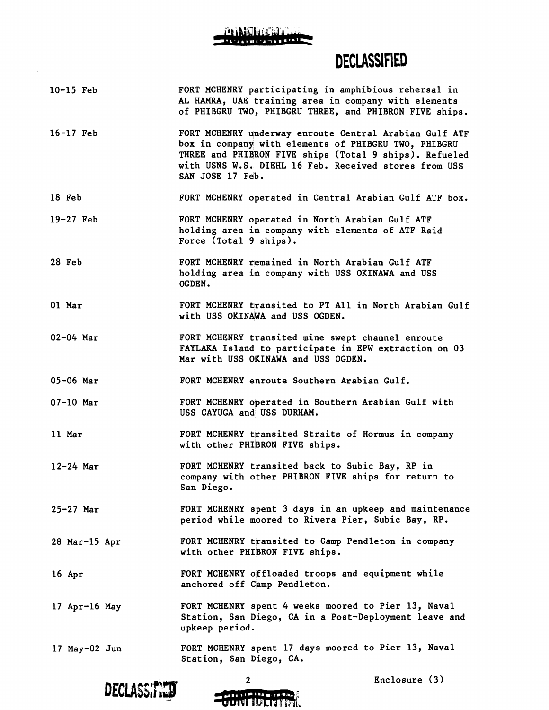### **DECLASSIFIED**

- 10-15 Feb 16-17 Feb FORT MCHENRY participating in amphibious rehersal in **AL HAMRA,** UAE training area in company with elements of PHIBGRU TWO, PHIBGRU THREE, and PHIBRON FIVE ships. FORT MCHENRY underway enroute Central Arabian Gulf ATF
- box in company with elements of PHIBGRU TWO, PHIBGRU THREE and PHIBRON FIVE ships (Total 9 ships). Refueled with USNS W.S. DIEHL 16 Feb. Received stores from USS SAN JOSE 17 Feb.
- 18 Feb FORT MCHENRY operated in Central Arabian Gulf ATF box.
- 19-27 Feb FORT MCHENRY qperated in North Arabian Gulf ATF holding area in company with elements of ATF Raid Force (Total  $9 \text{ ships}$ ).
- 28 Feb FORT MCHENRY remained in North Arabian Gulf ATF holding area in company with USS OKINAWA and USS OGDEN .
- 01 Mar FORT MCHENRY transited to PT All in North Arabian Gulf with USS OKINAWA and USS OGDEN.
- 02-04 Mar FORT MCHENRY transited mine swept channel enroute FAYLAKA Island to participate in EPW extraction on 03 Mar with USS OKINAWA and USS OGDEN.
- 05-06 Mar FORT MCHENRY enroute Southern Arabian Gulf.
- 07-10 Mar FORT MCHENRY operated in Southern Arabian Gulf with USS CAYUGA and USS DURHAM.
- 11 Mar FORT MCHENRY transited Straits of Hormuz in company with other PHIDRON FIVE ships.
- 12-24 Mar FORT MCHENRY transited back to Subic Bay, RP in company with other PHIBRON FIVE ships for return to San Diego.
- 25-27 Mar FORT MCHENRY spent 3 days in an upkeep and maintenance period while moored to Rivera Pier, Subic Bay, RP.
- 28 Mar-15 Apr FORT MCHENRY transited to Camp Pendleton in company with other PHIBRON FIVE ships.
- 16 Apr FORT MCHENRY offloaded troops and equipment while anchored off Camp Pendleton.
- 17 Apr-16 May FORT MCHENRY spent 4 weeks moored to Pier 13, Naval Station, San Diego, CA in a Post-Deployment leave and upkeep period.
- 17 May-02 Jun FORT MCHENRY spent 17 days moored to Pier 13, Naval Station, San Diego, CA.





Enclosure (3)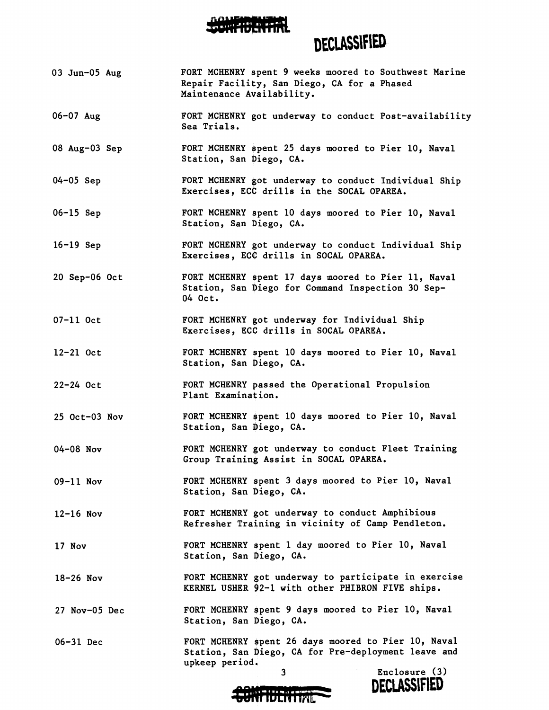

## **DECLASSIFIED**

- 03 Jun-05 Aug FORT MCHENRY \$pent 9 weeks moored to Southwest Marine Repair Facility, San Diego, CA for a Phased Maintenance Availability.
- 06-07 Aug FORT MCHENRY got underway to conduct Post-availability Sea Trials.
- 08 Aug-03 Sep FORT MCHENRY spent 25 days moored to Pier 10, Naval Station, San Diego, CA.
- 04-05 Sep FORT MCHENRY got underway to conduct Individual Ship Exercises, ECC drills in the SOCAL OPAREA.
- 06-15 Sep FORT MCHENRY \$pent 10 days moored to Pier 10, Naval Station, San Diego, CA.
- 16-19 Sep FORT MCHENRY got underway to conduct Individual Ship Exercises, ECC drills in SOCAL OPAREA.
- 20 Sep-06 Oct FORT MCHENRY \$pent 17 days moored to Pier 11, Naval Station, San biego for Command Inspection 30 Sep-04 Oct.
- 07-11 Oct FORT MCHENRY got underway for Individual Ship Exercises, ECC drills in SOCAL OPAREA.
- 12-21 Oct FORT MCHENRY \$pent 10 days moored to Pier 10, Naval Station, San Diego, CA.
- 22-24 Oct FORT MCHENRY passed the Operational Propulsion Plant Examination.
- 25 Oct-03 Nov FORT MCHENRY spent 10 days moored to Pier 10, Naval Station, San Diego, CA.
- 04-08 Nov FORT MCHENRY got underway to conduct Fleet Training Group Training Assist in SOCAL OPAREA.
- 09-11 Nov FORT MCHENRY spent 3 days moored to Pier 10, Naval Station, San Diego, CA.
- 12-16 Nov FORT MCHENRY got underway to conduct Amphibious Refresher Training in vicinity of Camp Pendleton.
- 17 Nov FORT MCHENRY spent 1 day moored to Pier 10, Naval Station, San Diego, CA.
- 18-26 Nov FORT MCHENRY got underway to participate in exercise KERNEL USHER 92-1 with other PHIBRON FIVE ships.
- 27 Nov-05 Dec FORT MCHENRY spent **9** days moored to Pier 10, Naval Station, San Diego, CA.
- 06-31 Dec FORT MCHENRY \$pent 26 days moored to Pier 10, Naval Station, San Diego, CA for Pre-deployment leave and upkeep period.